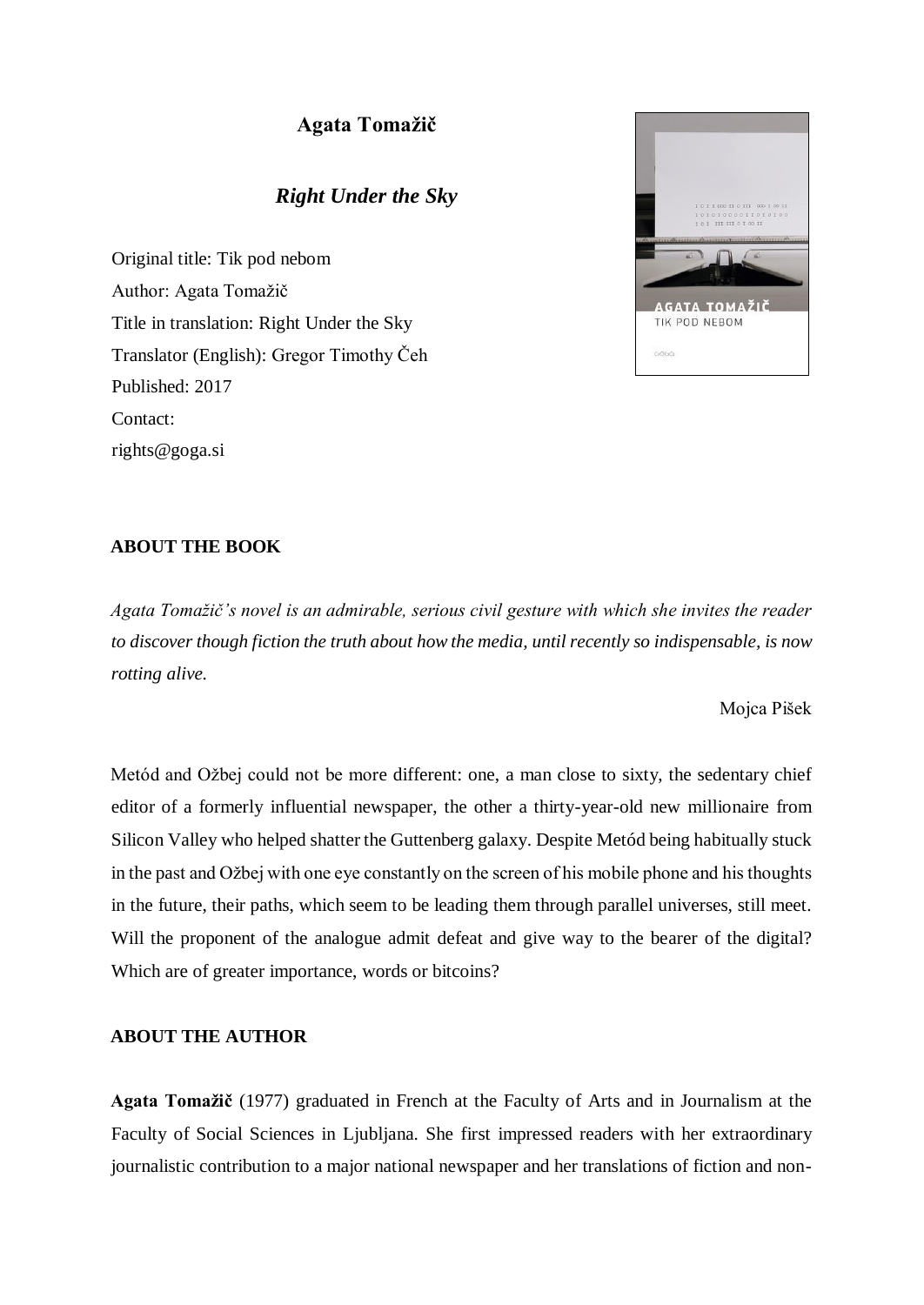# **Agata Tomažič**

# *Right Under the Sky*

Original title: Tik pod nebom Author: Agata Tomažič Title in translation: Right Under the Sky Translator (English): Gregor Timothy Čeh Published: 2017 Contact: rights@goga.si



## **ABOUT THE BOOK**

*Agata Tomažič's novel is an admirable, serious civil gesture with which she invites the reader to discover though fiction the truth about how the media, until recently so indispensable, is now rotting alive.* 

Mojca Pišek

Metód and Ožbej could not be more different: one, a man close to sixty, the sedentary chief editor of a formerly influential newspaper, the other a thirty-year-old new millionaire from Silicon Valley who helped shatter the Guttenberg galaxy. Despite Metód being habitually stuck in the past and Ožbej with one eye constantly on the screen of his mobile phone and his thoughts in the future, their paths, which seem to be leading them through parallel universes, still meet. Will the proponent of the analogue admit defeat and give way to the bearer of the digital? Which are of greater importance, words or bitcoins?

### **ABOUT THE AUTHOR**

**Agata Tomažič** (1977) graduated in French at the Faculty of Arts and in Journalism at the Faculty of Social Sciences in Ljubljana. She first impressed readers with her extraordinary journalistic contribution to a major national newspaper and her translations of fiction and non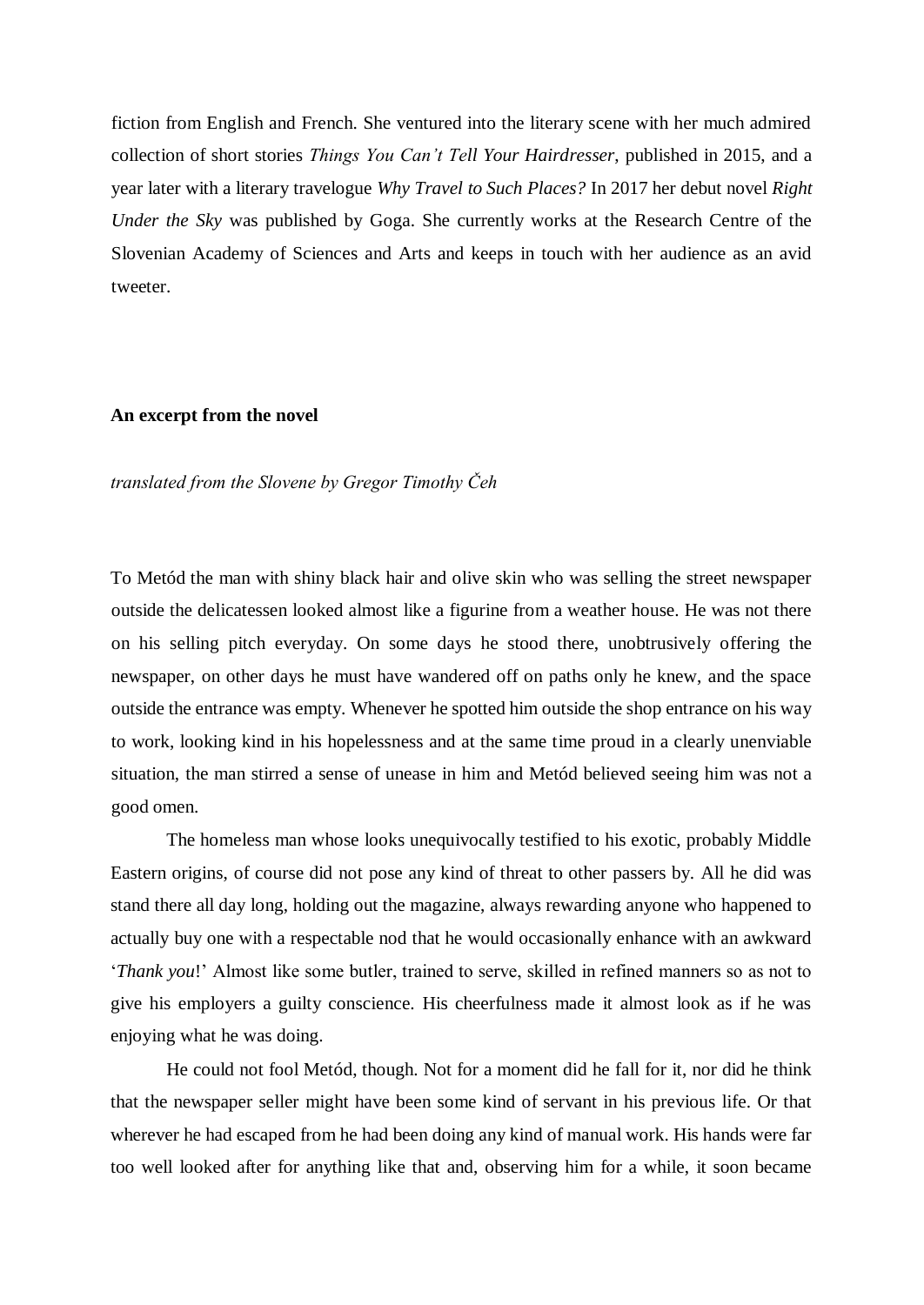fiction from English and French. She ventured into the literary scene with her much admired collection of short stories *Things You Can't Tell Your Hairdresser*, published in 2015, and a year later with a literary travelogue *Why Travel to Such Places?* In 2017 her debut novel *Right Under the Sky* was published by Goga. She currently works at the Research Centre of the Slovenian Academy of Sciences and Arts and keeps in touch with her audience as an avid tweeter.

### **An excerpt from the novel**

### *translated from the Slovene by Gregor Timothy Čeh*

To Metód the man with shiny black hair and olive skin who was selling the street newspaper outside the delicatessen looked almost like a figurine from a weather house. He was not there on his selling pitch everyday. On some days he stood there, unobtrusively offering the newspaper, on other days he must have wandered off on paths only he knew, and the space outside the entrance was empty. Whenever he spotted him outside the shop entrance on his way to work, looking kind in his hopelessness and at the same time proud in a clearly unenviable situation, the man stirred a sense of unease in him and Metód believed seeing him was not a good omen.

The homeless man whose looks unequivocally testified to his exotic, probably Middle Eastern origins, of course did not pose any kind of threat to other passers by. All he did was stand there all day long, holding out the magazine, always rewarding anyone who happened to actually buy one with a respectable nod that he would occasionally enhance with an awkward '*Thank you*!' Almost like some butler, trained to serve, skilled in refined manners so as not to give his employers a guilty conscience. His cheerfulness made it almost look as if he was enjoying what he was doing.

He could not fool Metód, though. Not for a moment did he fall for it, nor did he think that the newspaper seller might have been some kind of servant in his previous life. Or that wherever he had escaped from he had been doing any kind of manual work. His hands were far too well looked after for anything like that and, observing him for a while, it soon became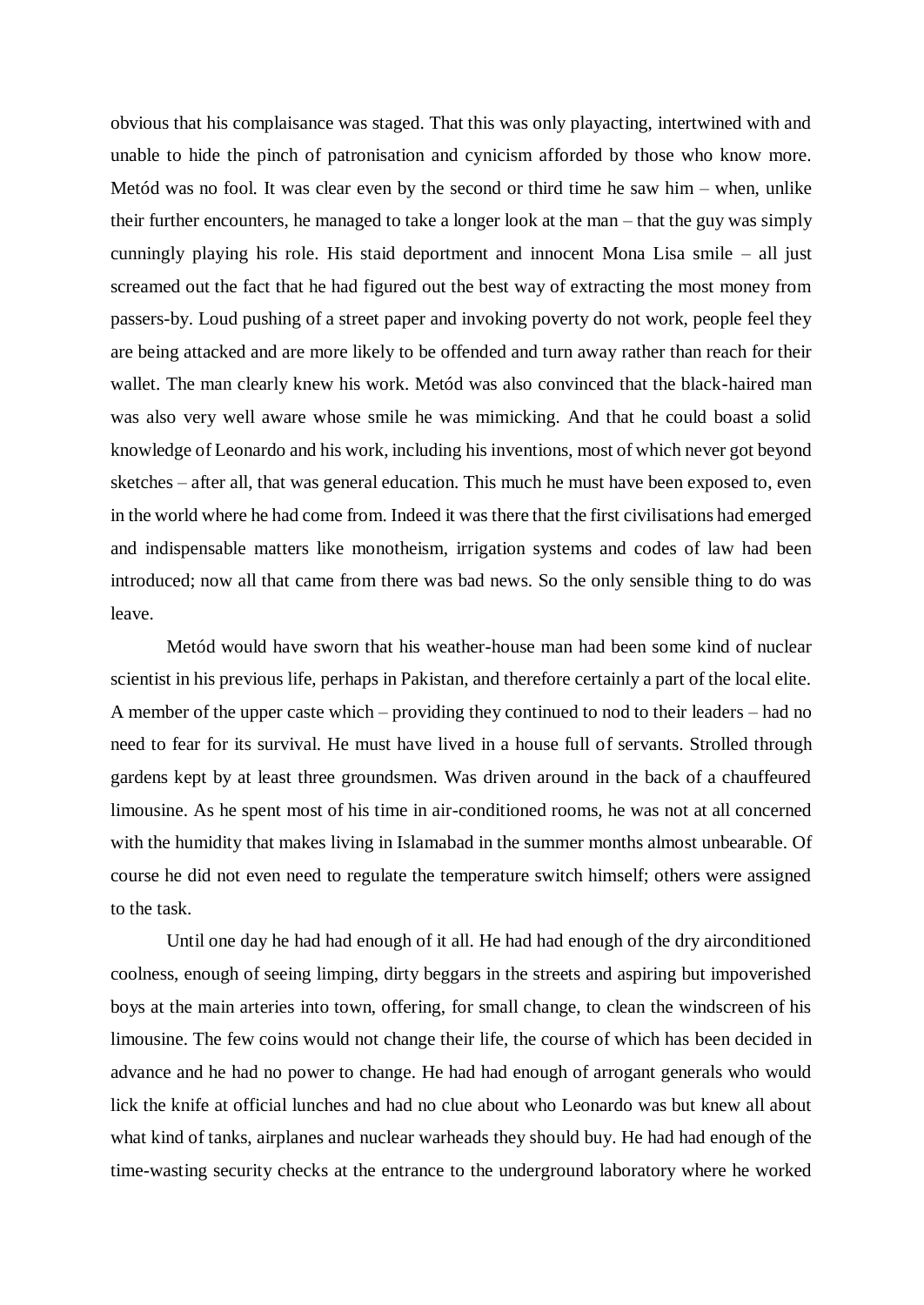obvious that his complaisance was staged. That this was only playacting, intertwined with and unable to hide the pinch of patronisation and cynicism afforded by those who know more. Metód was no fool. It was clear even by the second or third time he saw him – when, unlike their further encounters, he managed to take a longer look at the man – that the guy was simply cunningly playing his role. His staid deportment and innocent Mona Lisa smile – all just screamed out the fact that he had figured out the best way of extracting the most money from passers-by. Loud pushing of a street paper and invoking poverty do not work, people feel they are being attacked and are more likely to be offended and turn away rather than reach for their wallet. The man clearly knew his work. Metód was also convinced that the black-haired man was also very well aware whose smile he was mimicking. And that he could boast a solid knowledge of Leonardo and his work, including his inventions, most of which never got beyond sketches – after all, that was general education. This much he must have been exposed to, even in the world where he had come from. Indeed it was there that the first civilisations had emerged and indispensable matters like monotheism, irrigation systems and codes of law had been introduced; now all that came from there was bad news. So the only sensible thing to do was leave.

Metód would have sworn that his weather-house man had been some kind of nuclear scientist in his previous life, perhaps in Pakistan, and therefore certainly a part of the local elite. A member of the upper caste which – providing they continued to nod to their leaders – had no need to fear for its survival. He must have lived in a house full of servants. Strolled through gardens kept by at least three groundsmen. Was driven around in the back of a chauffeured limousine. As he spent most of his time in air-conditioned rooms, he was not at all concerned with the humidity that makes living in Islamabad in the summer months almost unbearable. Of course he did not even need to regulate the temperature switch himself; others were assigned to the task.

Until one day he had had enough of it all. He had had enough of the dry airconditioned coolness, enough of seeing limping, dirty beggars in the streets and aspiring but impoverished boys at the main arteries into town, offering, for small change, to clean the windscreen of his limousine. The few coins would not change their life, the course of which has been decided in advance and he had no power to change. He had had enough of arrogant generals who would lick the knife at official lunches and had no clue about who Leonardo was but knew all about what kind of tanks, airplanes and nuclear warheads they should buy. He had had enough of the time-wasting security checks at the entrance to the underground laboratory where he worked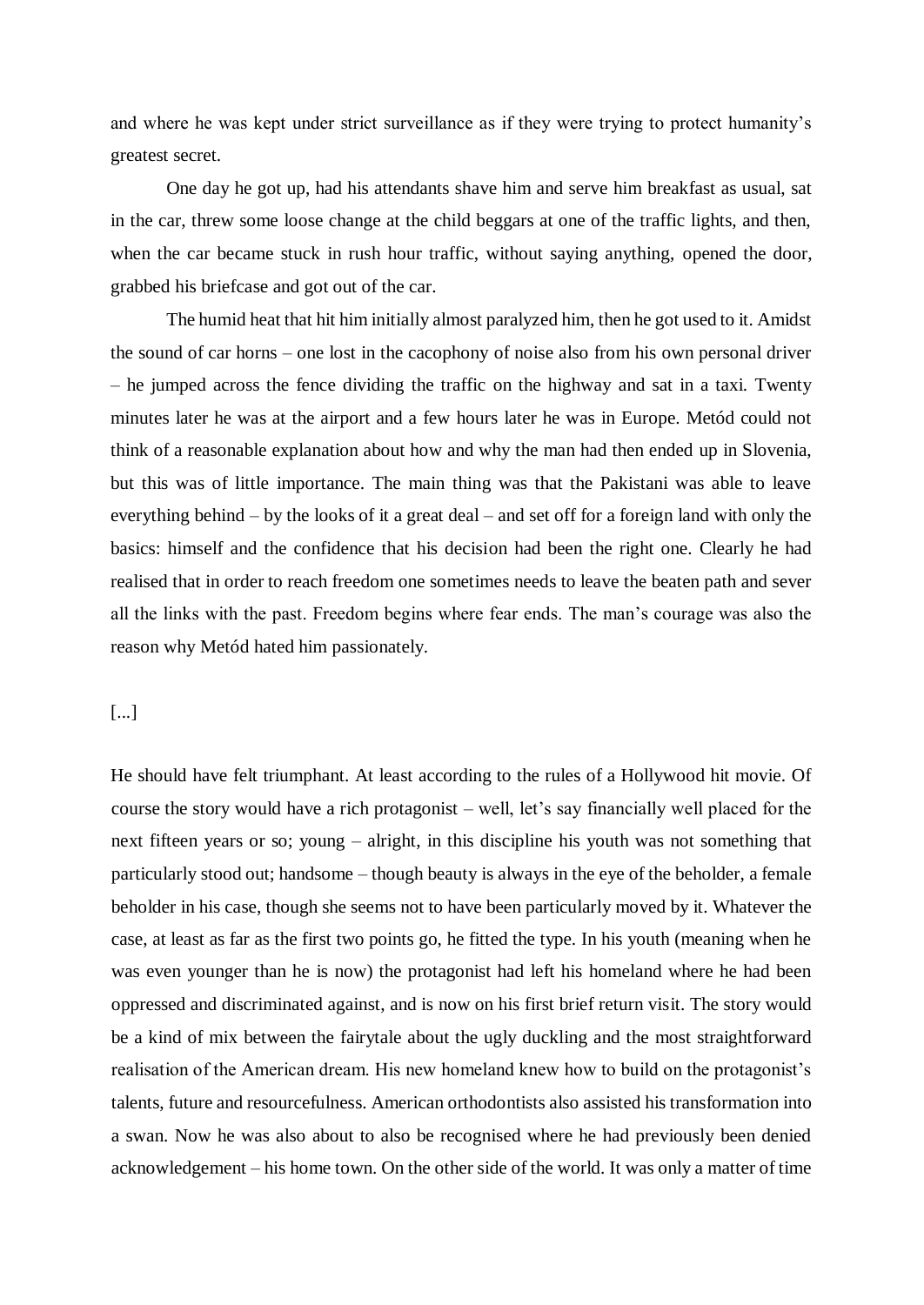and where he was kept under strict surveillance as if they were trying to protect humanity's greatest secret.

One day he got up, had his attendants shave him and serve him breakfast as usual, sat in the car, threw some loose change at the child beggars at one of the traffic lights, and then, when the car became stuck in rush hour traffic, without saying anything, opened the door, grabbed his briefcase and got out of the car.

The humid heat that hit him initially almost paralyzed him, then he got used to it. Amidst the sound of car horns – one lost in the cacophony of noise also from his own personal driver – he jumped across the fence dividing the traffic on the highway and sat in a taxi. Twenty minutes later he was at the airport and a few hours later he was in Europe. Metód could not think of a reasonable explanation about how and why the man had then ended up in Slovenia, but this was of little importance. The main thing was that the Pakistani was able to leave everything behind – by the looks of it a great deal – and set off for a foreign land with only the basics: himself and the confidence that his decision had been the right one. Clearly he had realised that in order to reach freedom one sometimes needs to leave the beaten path and sever all the links with the past. Freedom begins where fear ends. The man's courage was also the reason why Metód hated him passionately.

## [...]

He should have felt triumphant. At least according to the rules of a Hollywood hit movie. Of course the story would have a rich protagonist – well, let's say financially well placed for the next fifteen years or so; young – alright, in this discipline his youth was not something that particularly stood out; handsome – though beauty is always in the eye of the beholder, a female beholder in his case, though she seems not to have been particularly moved by it. Whatever the case, at least as far as the first two points go, he fitted the type. In his youth (meaning when he was even younger than he is now) the protagonist had left his homeland where he had been oppressed and discriminated against, and is now on his first brief return visit. The story would be a kind of mix between the fairytale about the ugly duckling and the most straightforward realisation of the American dream. His new homeland knew how to build on the protagonist's talents, future and resourcefulness. American orthodontists also assisted his transformation into a swan. Now he was also about to also be recognised where he had previously been denied acknowledgement – his home town. On the other side of the world. It was only a matter of time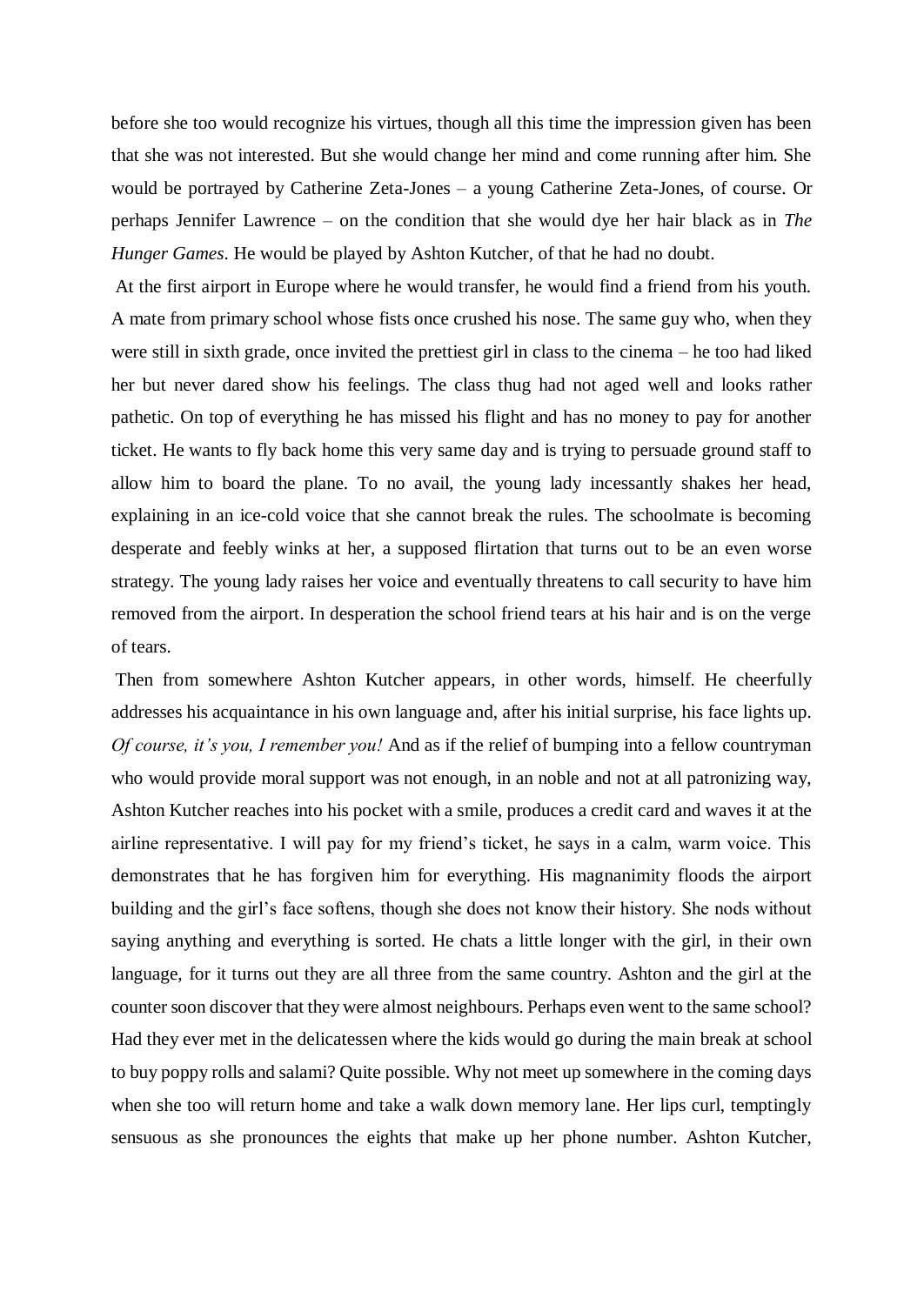before she too would recognize his virtues, though all this time the impression given has been that she was not interested. But she would change her mind and come running after him. She would be portrayed by Catherine Zeta-Jones – a young Catherine Zeta-Jones, of course. Or perhaps Jennifer Lawrence – on the condition that she would dye her hair black as in *The Hunger Games*. He would be played by Ashton Kutcher, of that he had no doubt.

At the first airport in Europe where he would transfer, he would find a friend from his youth. A mate from primary school whose fists once crushed his nose. The same guy who, when they were still in sixth grade, once invited the prettiest girl in class to the cinema – he too had liked her but never dared show his feelings. The class thug had not aged well and looks rather pathetic. On top of everything he has missed his flight and has no money to pay for another ticket. He wants to fly back home this very same day and is trying to persuade ground staff to allow him to board the plane. To no avail, the young lady incessantly shakes her head, explaining in an ice-cold voice that she cannot break the rules. The schoolmate is becoming desperate and feebly winks at her, a supposed flirtation that turns out to be an even worse strategy. The young lady raises her voice and eventually threatens to call security to have him removed from the airport. In desperation the school friend tears at his hair and is on the verge of tears.

Then from somewhere Ashton Kutcher appears, in other words, himself. He cheerfully addresses his acquaintance in his own language and, after his initial surprise, his face lights up. *Of course, it's you, I remember you!* And as if the relief of bumping into a fellow countryman who would provide moral support was not enough, in an noble and not at all patronizing way, Ashton Kutcher reaches into his pocket with a smile, produces a credit card and waves it at the airline representative. I will pay for my friend's ticket, he says in a calm, warm voice. This demonstrates that he has forgiven him for everything. His magnanimity floods the airport building and the girl's face softens, though she does not know their history. She nods without saying anything and everything is sorted. He chats a little longer with the girl, in their own language, for it turns out they are all three from the same country. Ashton and the girl at the counter soon discover that they were almost neighbours. Perhaps even went to the same school? Had they ever met in the delicatessen where the kids would go during the main break at school to buy poppy rolls and salami? Quite possible. Why not meet up somewhere in the coming days when she too will return home and take a walk down memory lane. Her lips curl, temptingly sensuous as she pronounces the eights that make up her phone number. Ashton Kutcher,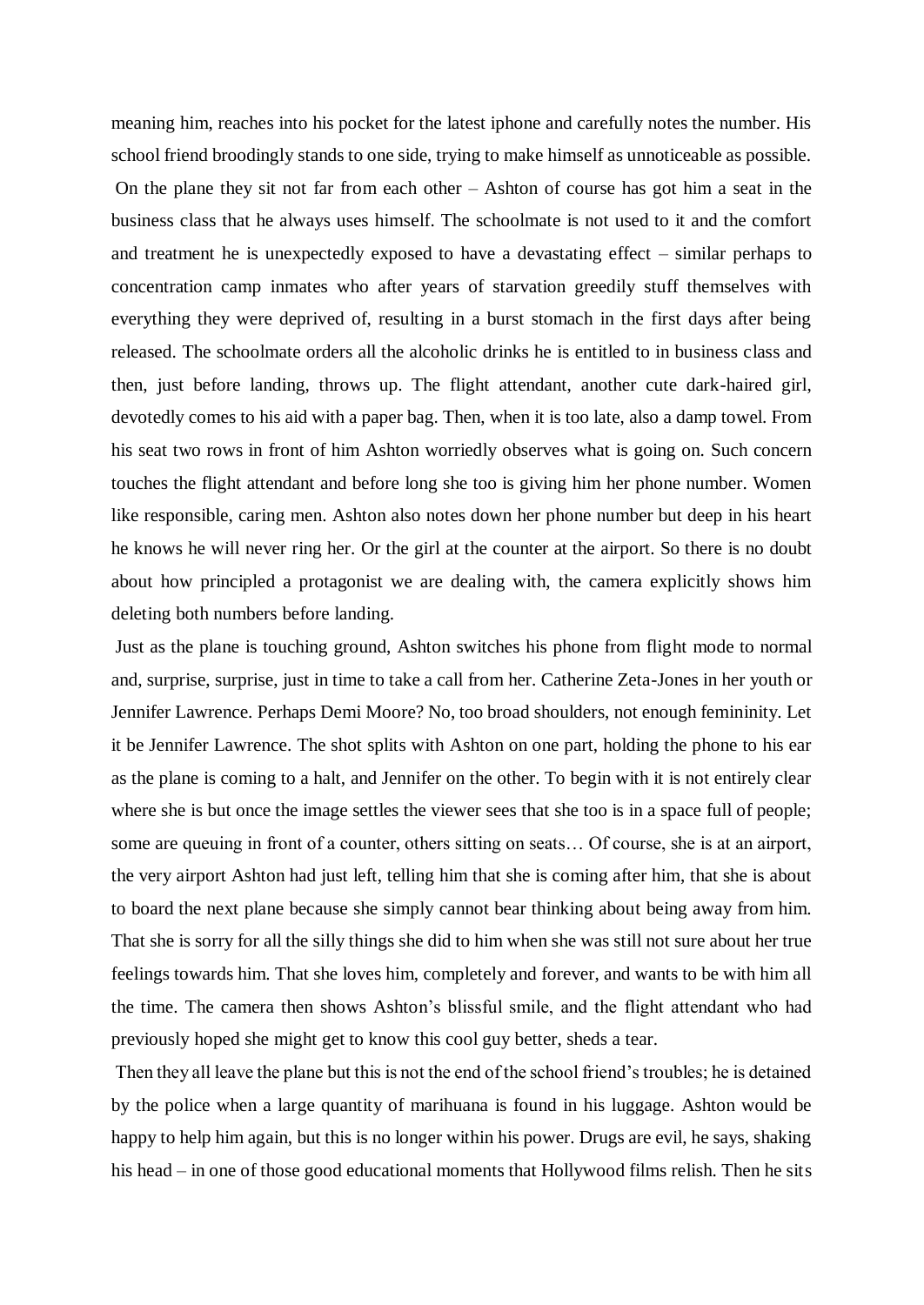meaning him, reaches into his pocket for the latest iphone and carefully notes the number. His school friend broodingly stands to one side, trying to make himself as unnoticeable as possible. On the plane they sit not far from each other – Ashton of course has got him a seat in the business class that he always uses himself. The schoolmate is not used to it and the comfort and treatment he is unexpectedly exposed to have a devastating effect – similar perhaps to concentration camp inmates who after years of starvation greedily stuff themselves with everything they were deprived of, resulting in a burst stomach in the first days after being released. The schoolmate orders all the alcoholic drinks he is entitled to in business class and then, just before landing, throws up. The flight attendant, another cute dark-haired girl, devotedly comes to his aid with a paper bag. Then, when it is too late, also a damp towel. From his seat two rows in front of him Ashton worriedly observes what is going on. Such concern touches the flight attendant and before long she too is giving him her phone number. Women like responsible, caring men. Ashton also notes down her phone number but deep in his heart he knows he will never ring her. Or the girl at the counter at the airport. So there is no doubt about how principled a protagonist we are dealing with, the camera explicitly shows him deleting both numbers before landing.

Just as the plane is touching ground, Ashton switches his phone from flight mode to normal and, surprise, surprise, just in time to take a call from her. Catherine Zeta-Jones in her youth or Jennifer Lawrence. Perhaps Demi Moore? No, too broad shoulders, not enough femininity. Let it be Jennifer Lawrence. The shot splits with Ashton on one part, holding the phone to his ear as the plane is coming to a halt, and Jennifer on the other. To begin with it is not entirely clear where she is but once the image settles the viewer sees that she too is in a space full of people; some are queuing in front of a counter, others sitting on seats… Of course, she is at an airport, the very airport Ashton had just left, telling him that she is coming after him, that she is about to board the next plane because she simply cannot bear thinking about being away from him. That she is sorry for all the silly things she did to him when she was still not sure about her true feelings towards him. That she loves him, completely and forever, and wants to be with him all the time. The camera then shows Ashton's blissful smile, and the flight attendant who had previously hoped she might get to know this cool guy better, sheds a tear.

Then they all leave the plane but this is not the end of the school friend's troubles; he is detained by the police when a large quantity of marihuana is found in his luggage. Ashton would be happy to help him again, but this is no longer within his power. Drugs are evil, he says, shaking his head – in one of those good educational moments that Hollywood films relish. Then he sits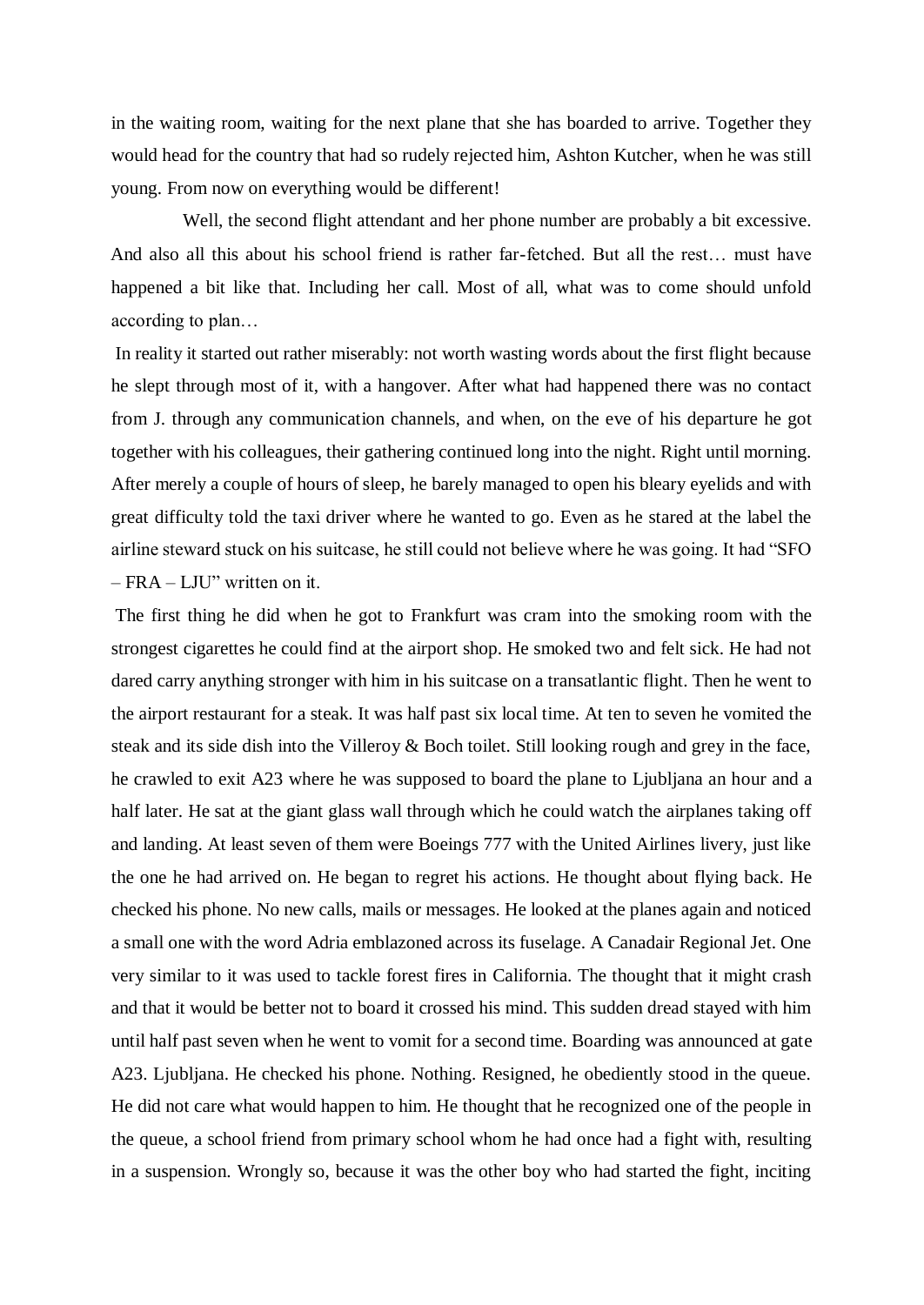in the waiting room, waiting for the next plane that she has boarded to arrive. Together they would head for the country that had so rudely rejected him, Ashton Kutcher, when he was still young. From now on everything would be different!

Well, the second flight attendant and her phone number are probably a bit excessive. And also all this about his school friend is rather far-fetched. But all the rest… must have happened a bit like that. Including her call. Most of all, what was to come should unfold according to plan…

In reality it started out rather miserably: not worth wasting words about the first flight because he slept through most of it, with a hangover. After what had happened there was no contact from J. through any communication channels, and when, on the eve of his departure he got together with his colleagues, their gathering continued long into the night. Right until morning. After merely a couple of hours of sleep, he barely managed to open his bleary eyelids and with great difficulty told the taxi driver where he wanted to go. Even as he stared at the label the airline steward stuck on his suitcase, he still could not believe where he was going. It had "SFO – FRA – LJU" written on it.

The first thing he did when he got to Frankfurt was cram into the smoking room with the strongest cigarettes he could find at the airport shop. He smoked two and felt sick. He had not dared carry anything stronger with him in his suitcase on a transatlantic flight. Then he went to the airport restaurant for a steak. It was half past six local time. At ten to seven he vomited the steak and its side dish into the Villeroy & Boch toilet. Still looking rough and grey in the face, he crawled to exit A23 where he was supposed to board the plane to Ljubljana an hour and a half later. He sat at the giant glass wall through which he could watch the airplanes taking off and landing. At least seven of them were Boeings 777 with the United Airlines livery, just like the one he had arrived on. He began to regret his actions. He thought about flying back. He checked his phone. No new calls, mails or messages. He looked at the planes again and noticed a small one with the word Adria emblazoned across its fuselage. A Canadair Regional Jet. One very similar to it was used to tackle forest fires in California. The thought that it might crash and that it would be better not to board it crossed his mind. This sudden dread stayed with him until half past seven when he went to vomit for a second time. Boarding was announced at gate A23. Ljubljana. He checked his phone. Nothing. Resigned, he obediently stood in the queue. He did not care what would happen to him. He thought that he recognized one of the people in the queue, a school friend from primary school whom he had once had a fight with, resulting in a suspension. Wrongly so, because it was the other boy who had started the fight, inciting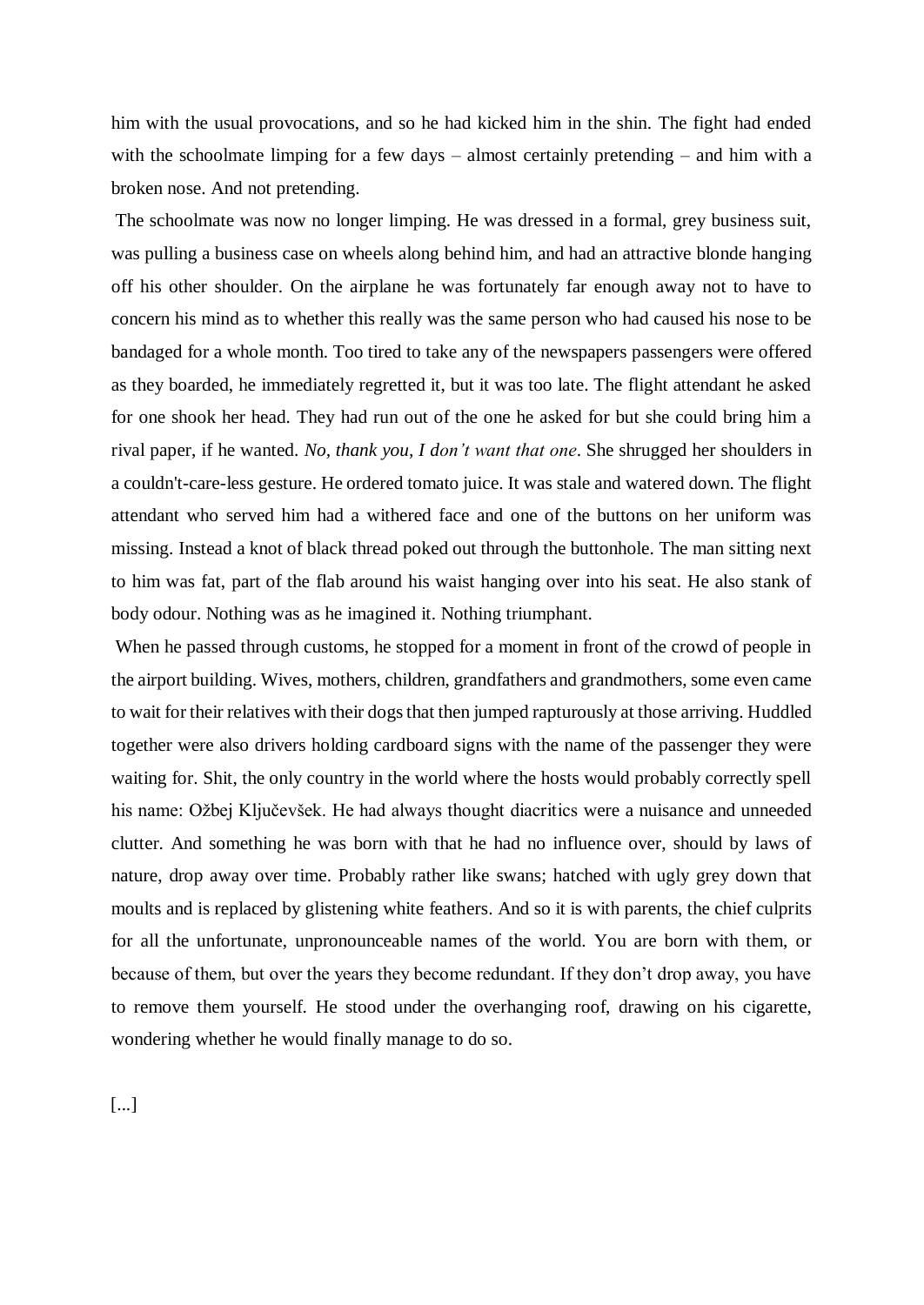him with the usual provocations, and so he had kicked him in the shin. The fight had ended with the schoolmate limping for a few days – almost certainly pretending – and him with a broken nose. And not pretending.

The schoolmate was now no longer limping. He was dressed in a formal, grey business suit, was pulling a business case on wheels along behind him, and had an attractive blonde hanging off his other shoulder. On the airplane he was fortunately far enough away not to have to concern his mind as to whether this really was the same person who had caused his nose to be bandaged for a whole month. Too tired to take any of the newspapers passengers were offered as they boarded, he immediately regretted it, but it was too late. The flight attendant he asked for one shook her head. They had run out of the one he asked for but she could bring him a rival paper, if he wanted. *No, thank you, I don't want that one*. She shrugged her shoulders in a couldn't-care-less gesture. He ordered tomato juice. It was stale and watered down. The flight attendant who served him had a withered face and one of the buttons on her uniform was missing. Instead a knot of black thread poked out through the buttonhole. The man sitting next to him was fat, part of the flab around his waist hanging over into his seat. He also stank of body odour. Nothing was as he imagined it. Nothing triumphant.

When he passed through customs, he stopped for a moment in front of the crowd of people in the airport building. Wives, mothers, children, grandfathers and grandmothers, some even came to wait for their relatives with their dogs that then jumped rapturously at those arriving. Huddled together were also drivers holding cardboard signs with the name of the passenger they were waiting for. Shit, the only country in the world where the hosts would probably correctly spell his name: Ožbej Ključevšek. He had always thought diacritics were a nuisance and unneeded clutter. And something he was born with that he had no influence over, should by laws of nature, drop away over time. Probably rather like swans; hatched with ugly grey down that moults and is replaced by glistening white feathers. And so it is with parents, the chief culprits for all the unfortunate, unpronounceable names of the world. You are born with them, or because of them, but over the years they become redundant. If they don't drop away, you have to remove them yourself. He stood under the overhanging roof, drawing on his cigarette, wondering whether he would finally manage to do so.

[...]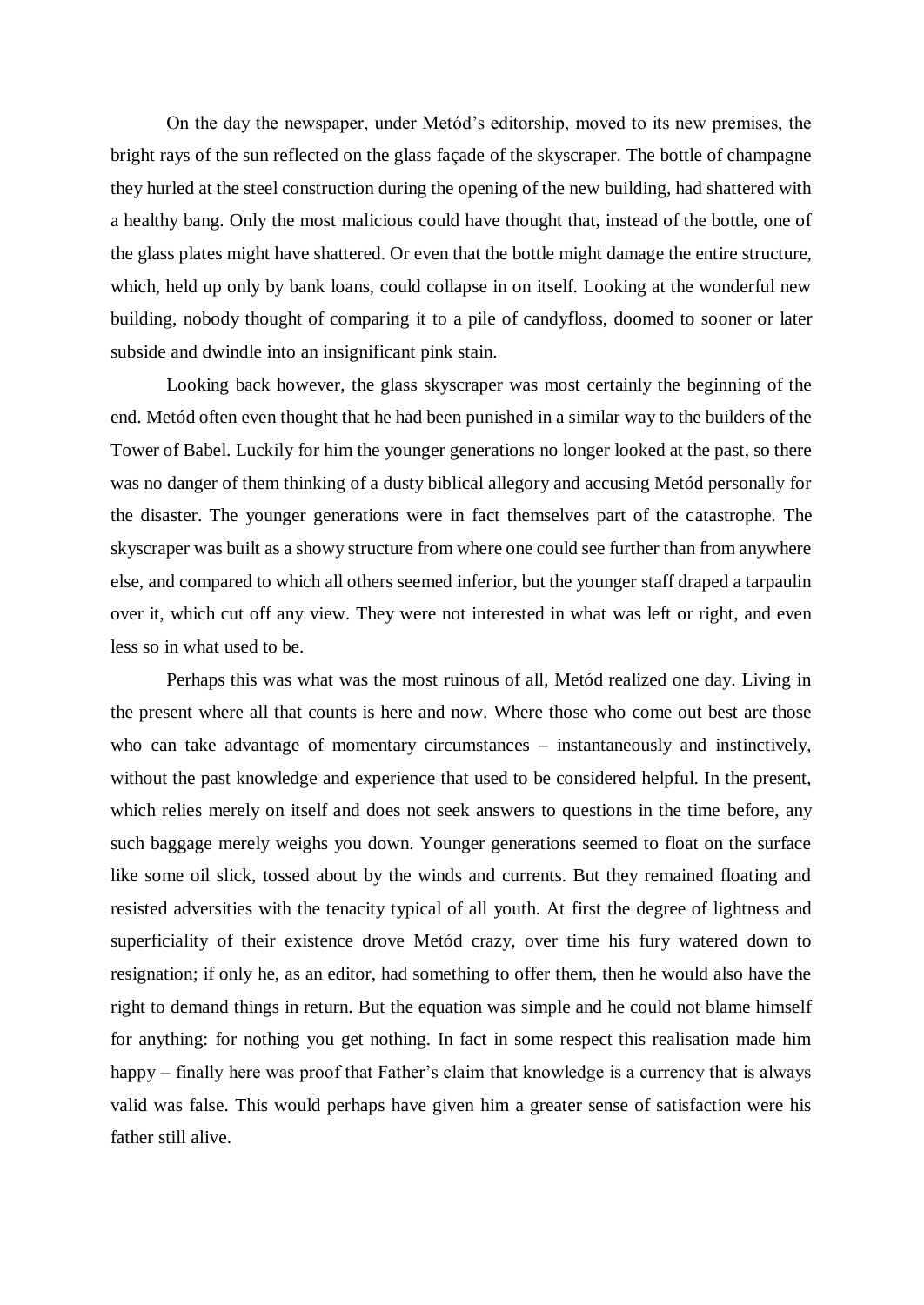On the day the newspaper, under Metód's editorship, moved to its new premises, the bright rays of the sun reflected on the glass façade of the skyscraper. The bottle of champagne they hurled at the steel construction during the opening of the new building, had shattered with a healthy bang. Only the most malicious could have thought that, instead of the bottle, one of the glass plates might have shattered. Or even that the bottle might damage the entire structure, which, held up only by bank loans, could collapse in on itself. Looking at the wonderful new building, nobody thought of comparing it to a pile of candyfloss, doomed to sooner or later subside and dwindle into an insignificant pink stain.

Looking back however, the glass skyscraper was most certainly the beginning of the end. Metód often even thought that he had been punished in a similar way to the builders of the Tower of Babel. Luckily for him the younger generations no longer looked at the past, so there was no danger of them thinking of a dusty biblical allegory and accusing Metód personally for the disaster. The younger generations were in fact themselves part of the catastrophe. The skyscraper was built as a showy structure from where one could see further than from anywhere else, and compared to which all others seemed inferior, but the younger staff draped a tarpaulin over it, which cut off any view. They were not interested in what was left or right, and even less so in what used to be.

Perhaps this was what was the most ruinous of all, Metód realized one day. Living in the present where all that counts is here and now. Where those who come out best are those who can take advantage of momentary circumstances – instantaneously and instinctively, without the past knowledge and experience that used to be considered helpful. In the present, which relies merely on itself and does not seek answers to questions in the time before, any such baggage merely weighs you down. Younger generations seemed to float on the surface like some oil slick, tossed about by the winds and currents. But they remained floating and resisted adversities with the tenacity typical of all youth. At first the degree of lightness and superficiality of their existence drove Metód crazy, over time his fury watered down to resignation; if only he, as an editor, had something to offer them, then he would also have the right to demand things in return. But the equation was simple and he could not blame himself for anything: for nothing you get nothing. In fact in some respect this realisation made him happy – finally here was proof that Father's claim that knowledge is a currency that is always valid was false. This would perhaps have given him a greater sense of satisfaction were his father still alive.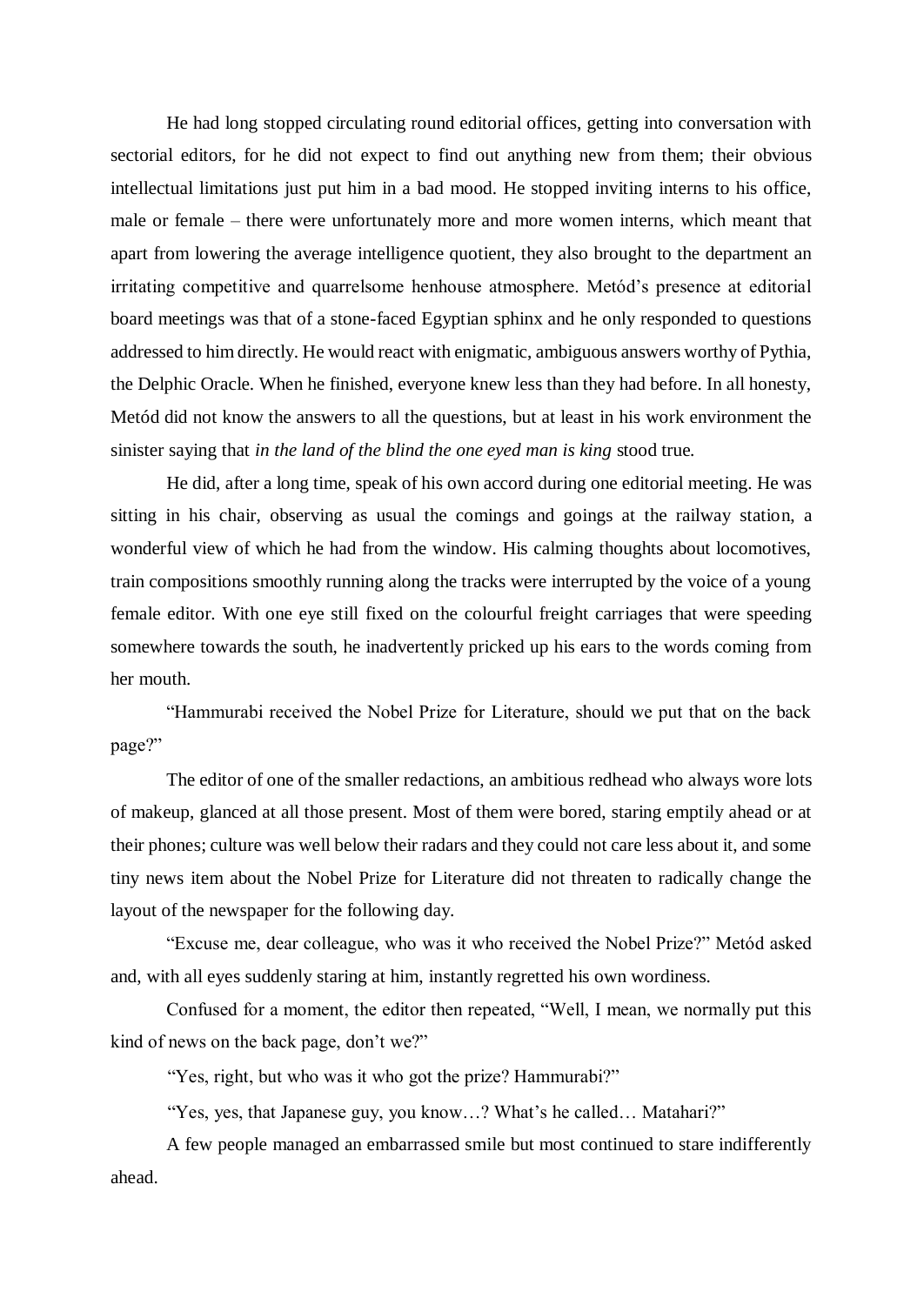He had long stopped circulating round editorial offices, getting into conversation with sectorial editors, for he did not expect to find out anything new from them; their obvious intellectual limitations just put him in a bad mood. He stopped inviting interns to his office, male or female – there were unfortunately more and more women interns, which meant that apart from lowering the average intelligence quotient, they also brought to the department an irritating competitive and quarrelsome henhouse atmosphere. Metód's presence at editorial board meetings was that of a stone-faced Egyptian sphinx and he only responded to questions addressed to him directly. He would react with enigmatic, ambiguous answers worthy of Pythia, the Delphic Oracle. When he finished, everyone knew less than they had before. In all honesty, Metód did not know the answers to all the questions, but at least in his work environment the sinister saying that *in the land of the blind the one eyed man is king* stood true*.* 

He did, after a long time, speak of his own accord during one editorial meeting. He was sitting in his chair, observing as usual the comings and goings at the railway station, a wonderful view of which he had from the window. His calming thoughts about locomotives, train compositions smoothly running along the tracks were interrupted by the voice of a young female editor. With one eye still fixed on the colourful freight carriages that were speeding somewhere towards the south, he inadvertently pricked up his ears to the words coming from her mouth.

"Hammurabi received the Nobel Prize for Literature, should we put that on the back page?"

The editor of one of the smaller redactions, an ambitious redhead who always wore lots of makeup, glanced at all those present. Most of them were bored, staring emptily ahead or at their phones; culture was well below their radars and they could not care less about it, and some tiny news item about the Nobel Prize for Literature did not threaten to radically change the layout of the newspaper for the following day.

"Excuse me, dear colleague, who was it who received the Nobel Prize?" Metód asked and, with all eyes suddenly staring at him, instantly regretted his own wordiness.

Confused for a moment, the editor then repeated, "Well, I mean, we normally put this kind of news on the back page, don't we?"

"Yes, right, but who was it who got the prize? Hammurabi?"

"Yes, yes, that Japanese guy, you know…? What's he called… Matahari?"

A few people managed an embarrassed smile but most continued to stare indifferently ahead.